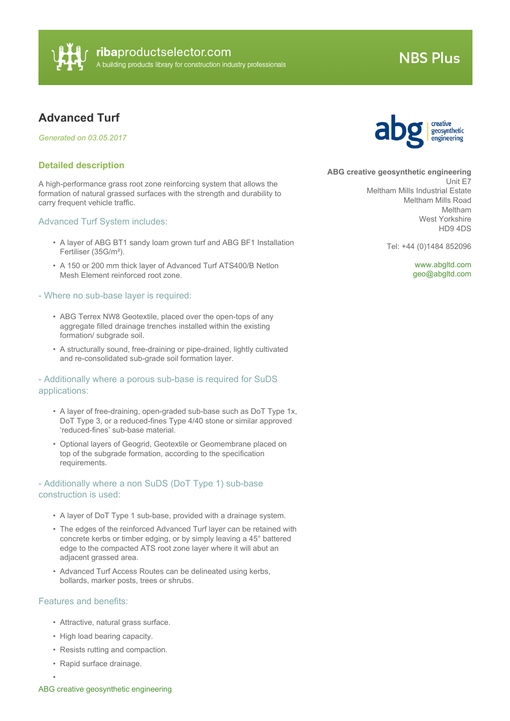

# **NBS Plus**

# **Advanced Turf**

*Generated on 03.05.2017*

#### **Detailed description**

A high-performance grass root zone reinforcing system that allows the formation of natural grassed surfaces with the strength and durability to carry frequent vehicle traffic.

#### Advanced Turf System includes:

- A layer of ABG BT1 sandy loam grown turf and ABG BF1 Installation Fertiliser (35G/m²).
- A 150 or 200 mm thick layer of Advanced Turf ATS400/B Netlon Mesh Element reinforced root zone.

#### - Where no sub-base layer is required:

- ABG Terrex NW8 Geotextile, placed over the open-tops of any aggregate filled drainage trenches installed within the existing formation/ subgrade soil.
- A structurally sound, free-draining or pipe-drained, lightly cultivated and re-consolidated sub-grade soil formation layer.

#### - Additionally where a porous sub-base is required for SuDS applications:

- A layer of free-draining, open-graded sub-base such as DoT Type 1x, DoT Type 3, or a reduced-fines Type 4/40 stone or similar approved 'reduced-fines' sub-base material.
- Optional layers of Geogrid, Geotextile or Geomembrane placed on top of the subgrade formation, according to the specification requirements.

### - Additionally where a non SuDS (DoT Type 1) sub-base construction is used:

- A layer of DoT Type 1 sub-base, provided with a drainage system.
- The edges of the reinforced Advanced Turf layer can be retained with concrete kerbs or timber edging, or by simply leaving a 45° battered edge to the compacted ATS root zone layer where it will abut an adjacent grassed area.
- Advanced Turf Access Routes can be delineated using kerbs, bollards, marker posts, trees or shrubs.

#### Features and benefits:

•

- Attractive, natural grass surface.
- High load bearing capacity.
- Resists rutting and compaction.
- Rapid surface drainage.



**ABG creative geosynthetic engineering**

Unit E7 Meltham Mills Industrial Estate Meltham Mills Road Meltham West Yorkshire HD9 4DS

Tel: +44 (0)1484 852096

<www.abgltd.com> [geo@abgltd.com](mailto:geo@abgltd.com?subject=Advanced Turf)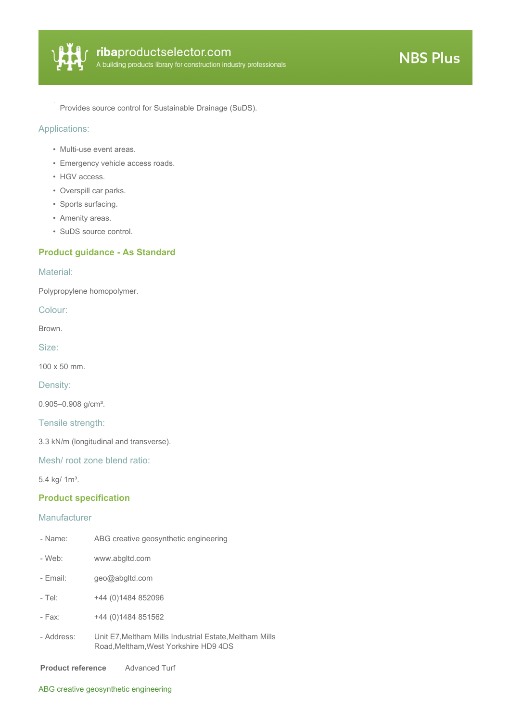

Provides source control for Sustainable Drainage (SuDS).

# Applications:

- Multi-use event areas.
- Emergency vehicle access roads.
- HGV access.
- Overspill car parks.
- Sports surfacing.
- Amenity areas.
- SuDS source control.

# **Product guidance - As Standard**

#### Material:

Polypropylene homopolymer.

Colour:

Brown.

Size:

100 x 50 mm.

Density:

0.905-0.908 g/cm<sup>3</sup>.

Tensile strength:

3.3 kN/m (longitudinal and transverse).

Mesh/ root zone blend ratio:

5.4 kg/ 1m<sup>3</sup>.

#### **Product specification**

#### Manufacturer

| - Name:    | ABG creative geosynthetic engineering                                                          |
|------------|------------------------------------------------------------------------------------------------|
| - Web:     | www.abgltd.com                                                                                 |
| - Fmail:   | geo@abgltd.com                                                                                 |
| - Tel:     | +44 (0)1484 852096                                                                             |
| - Fax:     | +44 (0)1484 851562                                                                             |
| - Address: | Unit E7. Meltham Mills Industrial Estate. Meltham Mills<br>Road.Meltham.West Yorkshire HD9 4DS |

**Product reference** Advanced Turf